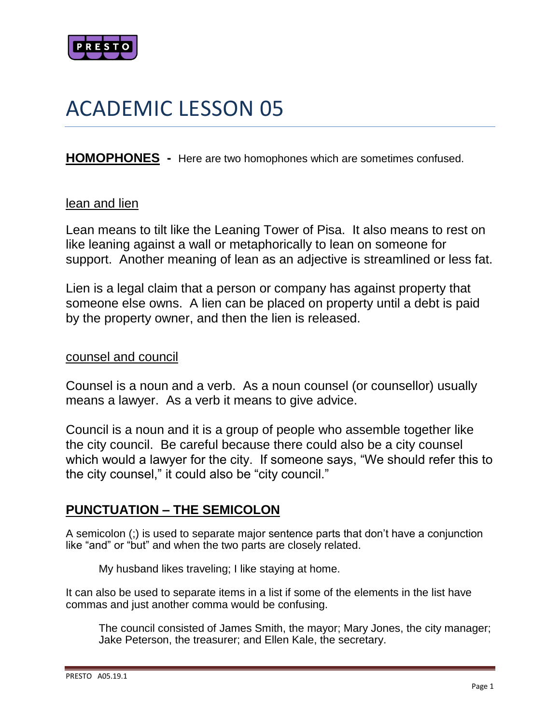

# ACADEMIC LESSON 05

**HOMOPHONES -** Here are two homophones which are sometimes confused.

#### lean and lien

Lean means to tilt like the Leaning Tower of Pisa. It also means to rest on like leaning against a wall or metaphorically to lean on someone for support. Another meaning of lean as an adjective is streamlined or less fat.

Lien is a legal claim that a person or company has against property that someone else owns. A lien can be placed on property until a debt is paid by the property owner, and then the lien is released.

#### counsel and council

Counsel is a noun and a verb. As a noun counsel (or counsellor) usually means a lawyer. As a verb it means to give advice.

Council is a noun and it is a group of people who assemble together like the city council. Be careful because there could also be a city counsel which would a lawyer for the city. If someone says, "We should refer this to the city counsel," it could also be "city council."

### **PUNCTUATION – THE SEMICOLON**

A semicolon (;) is used to separate major sentence parts that don't have a conjunction like "and" or "but" and when the two parts are closely related.

My husband likes traveling; I like staying at home.

It can also be used to separate items in a list if some of the elements in the list have commas and just another comma would be confusing.

The council consisted of James Smith, the mayor; Mary Jones, the city manager; Jake Peterson, the treasurer; and Ellen Kale, the secretary.